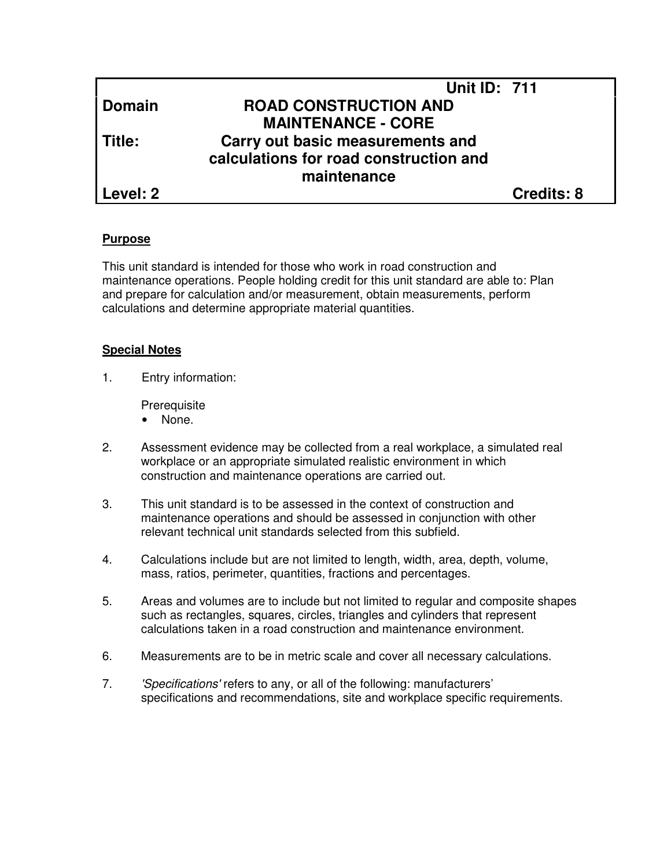|               | <b>Unit ID: 711</b>                    |                   |
|---------------|----------------------------------------|-------------------|
| <b>Domain</b> | <b>ROAD CONSTRUCTION AND</b>           |                   |
|               | <b>MAINTENANCE - CORE</b>              |                   |
| l Title:      | Carry out basic measurements and       |                   |
|               | calculations for road construction and |                   |
|               | maintenance                            |                   |
| l Level: 2    |                                        | <b>Credits: 8</b> |

#### **Purpose**

This unit standard is intended for those who work in road construction and maintenance operations. People holding credit for this unit standard are able to: Plan and prepare for calculation and/or measurement, obtain measurements, perform calculations and determine appropriate material quantities.

#### **Special Notes**

1. Entry information:

**Prerequisite** 

- None.
- 2. Assessment evidence may be collected from a real workplace, a simulated real workplace or an appropriate simulated realistic environment in which construction and maintenance operations are carried out.
- 3. This unit standard is to be assessed in the context of construction and maintenance operations and should be assessed in conjunction with other relevant technical unit standards selected from this subfield.
- 4. Calculations include but are not limited to length, width, area, depth, volume, mass, ratios, perimeter, quantities, fractions and percentages.
- 5. Areas and volumes are to include but not limited to regular and composite shapes such as rectangles, squares, circles, triangles and cylinders that represent calculations taken in a road construction and maintenance environment.
- 6. Measurements are to be in metric scale and cover all necessary calculations.
- 7. 'Specifications' refers to any, or all of the following: manufacturers' specifications and recommendations, site and workplace specific requirements.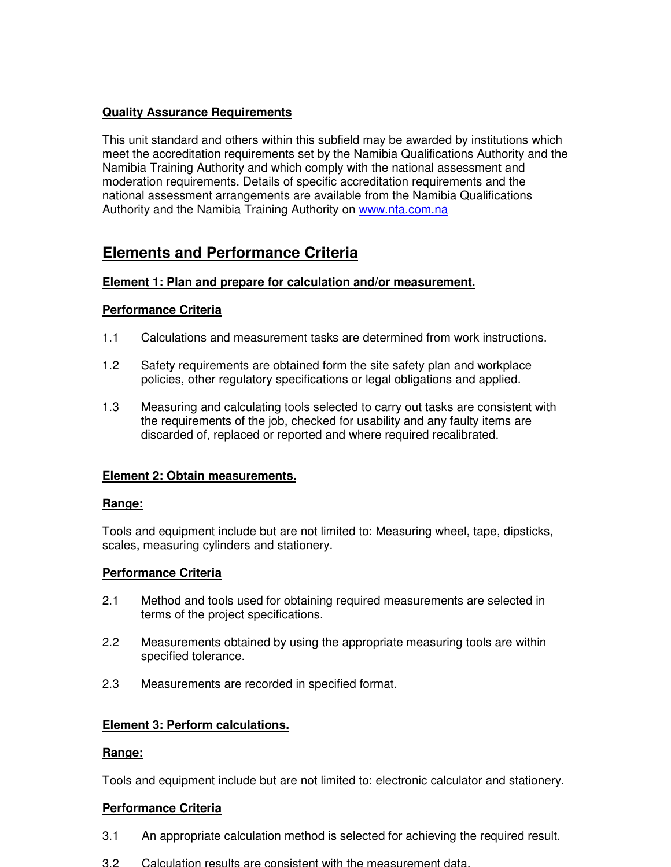# **Quality Assurance Requirements**

This unit standard and others within this subfield may be awarded by institutions which meet the accreditation requirements set by the Namibia Qualifications Authority and the Namibia Training Authority and which comply with the national assessment and moderation requirements. Details of specific accreditation requirements and the national assessment arrangements are available from the Namibia Qualifications Authority and the Namibia Training Authority on www.nta.com.na

# **Elements and Performance Criteria**

## **Element 1: Plan and prepare for calculation and/or measurement.**

## **Performance Criteria**

- 1.1 Calculations and measurement tasks are determined from work instructions.
- 1.2 Safety requirements are obtained form the site safety plan and workplace policies, other regulatory specifications or legal obligations and applied.
- 1.3 Measuring and calculating tools selected to carry out tasks are consistent with the requirements of the job, checked for usability and any faulty items are discarded of, replaced or reported and where required recalibrated.

## **Element 2: Obtain measurements.**

## **Range:**

Tools and equipment include but are not limited to: Measuring wheel, tape, dipsticks, scales, measuring cylinders and stationery.

## **Performance Criteria**

- 2.1 Method and tools used for obtaining required measurements are selected in terms of the project specifications.
- 2.2 Measurements obtained by using the appropriate measuring tools are within specified tolerance.
- 2.3 Measurements are recorded in specified format.

## **Element 3: Perform calculations.**

## **Range:**

Tools and equipment include but are not limited to: electronic calculator and stationery.

## **Performance Criteria**

- 3.1 An appropriate calculation method is selected for achieving the required result.
- 3.2 Calculation results are consistent with the measurement data.